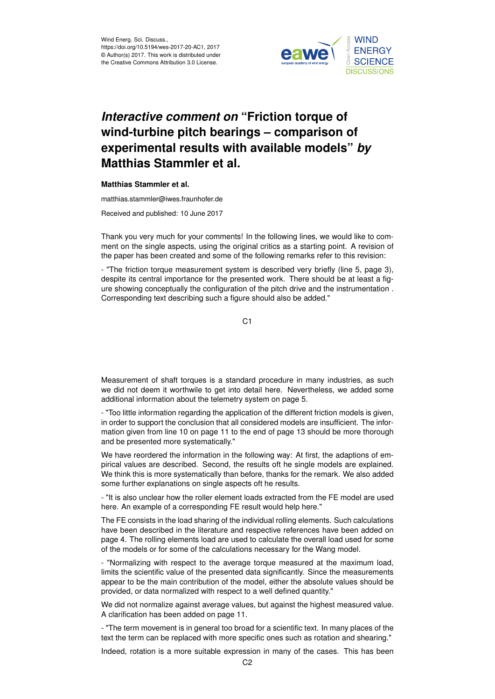

## *Interactive comment on* **"Friction torque of wind-turbine pitch bearings – comparison of experimental results with available models"** *by* **Matthias Stammler et al.**

## **Matthias Stammler et al.**

matthias.stammler@iwes.fraunhofer.de

Received and published: 10 June 2017

Thank you very much for your comments! In the following lines, we would like to comment on the single aspects, using the original critics as a starting point. A revision of the paper has been created and some of the following remarks refer to this revision:

- "The friction torque measurement system is described very briefly (line 5, page 3), despite its central importance for the presented work. There should be at least a figure showing conceptually the configuration of the pitch drive and the instrumentation . Corresponding text describing such a figure should also be added."

C1

Measurement of shaft torques is a standard procedure in many industries, as such we did not deem it worthwile to get into detail here. Nevertheless, we added some additional information about the telemetry system on page 5.

- "Too little information regarding the application of the different friction models is given, in order to support the conclusion that all considered models are insufficient. The information given from line 10 on page 11 to the end of page 13 should be more thorough and be presented more systematically."

We have reordered the information in the following way: At first, the adaptions of empirical values are described. Second, the results oft he single models are explained. We think this is more systematically than before, thanks for the remark. We also added some further explanations on single aspects oft he results.

- "It is also unclear how the roller element loads extracted from the FE model are used here. An example of a corresponding FE result would help here."

The FE consists in the load sharing of the individual rolling elements. Such calculations have been described in the literature and respective references have been added on page 4. The rolling elements load are used to calculate the overall load used for some of the models or for some of the calculations necessary for the Wang model.

- "Normalizing with respect to the average torque measured at the maximum load, limits the scientific value of the presented data significantly. Since the measurements appear to be the main contribution of the model, either the absolute values should be provided, or data normalized with respect to a well defined quantity."

We did not normalize against average values, but against the highest measured value. A clarification has been added on page 11.

- "The term movement is in general too broad for a scientific text. In many places of the text the term can be replaced with more specific ones such as rotation and shearing."

Indeed, rotation is a more suitable expression in many of the cases. This has been